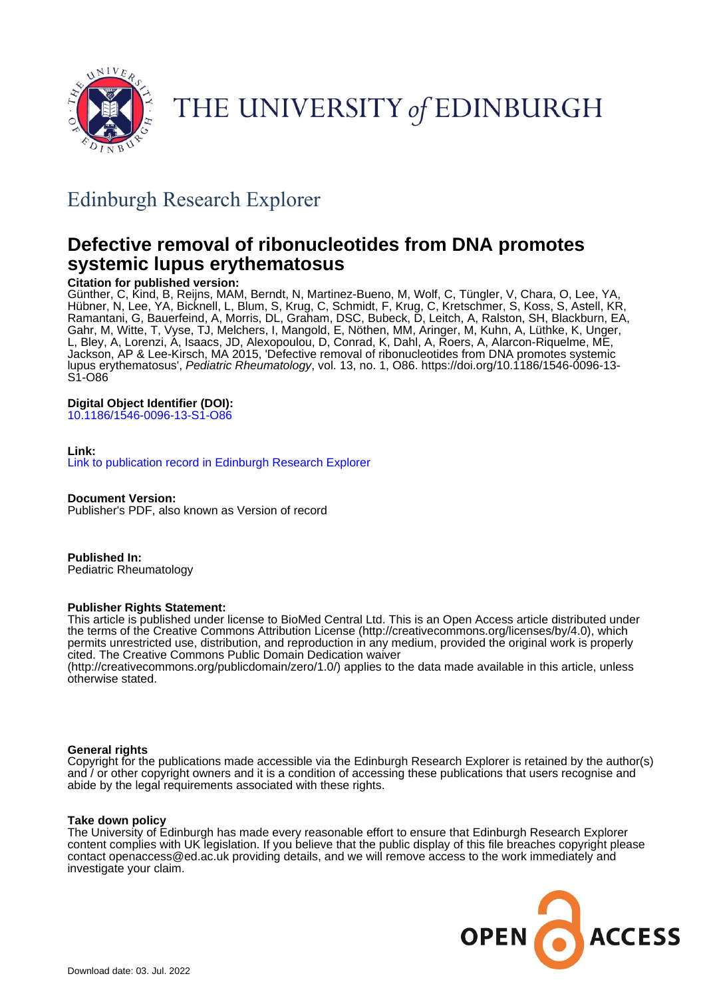

THE UNIVERSITY of EDINBURGH

## Edinburgh Research Explorer

## **Defective removal of ribonucleotides from DNA promotes systemic lupus erythematosus**

#### **Citation for published version:**

Günther, C, Kind, B, Reijns, MAM, Berndt, N, Martinez-Bueno, M, Wolf, C, Tüngler, V, Chara, O, Lee, YA, Hübner, N, Lee, YA, Bicknell, L, Blum, S, Krug, C, Schmidt, F, Krug, C, Kretschmer, S, Koss, S, Astell, KR, Ramantani, G, Bauerfeind, A, Morris, DL, Graham, DSC, Bubeck, D, Leitch, A, Ralston, SH, Blackburn, EA, Gahr, M, Witte, T, Vyse, TJ, Melchers, I, Mangold, E, Nöthen, MM, Aringer, M, Kuhn, A, Lüthke, K, Unger, L, Bley, A, Lorenzi, A, Isaacs, JD, Alexopoulou, D, Conrad, K, Dahl, A, Roers, A, Alarcon-Riquelme, ME, Jackson, AP & Lee-Kirsch, MA 2015, 'Defective removal of ribonucleotides from DNA promotes systemic lupus erythematosus', Pediatric Rheumatology, vol. 13, no. 1, O86. [https://doi.org/10.1186/1546-0096-13-](https://doi.org/10.1186/1546-0096-13-S1-O86) [S1-O86](https://doi.org/10.1186/1546-0096-13-S1-O86)

#### **Digital Object Identifier (DOI):**

[10.1186/1546-0096-13-S1-O86](https://doi.org/10.1186/1546-0096-13-S1-O86)

#### **Link:**

[Link to publication record in Edinburgh Research Explorer](https://www.research.ed.ac.uk/en/publications/faa7453c-ce43-4d32-8798-dab4ffefe901)

**Document Version:**

Publisher's PDF, also known as Version of record

**Published In:** Pediatric Rheumatology

#### **Publisher Rights Statement:**

This article is published under license to BioMed Central Ltd. This is an Open Access article distributed under the terms of the Creative Commons Attribution License (http://creativecommons.org/licenses/by/4.0), which permits unrestricted use, distribution, and reproduction in any medium, provided the original work is properly cited. The Creative Commons Public Domain Dedication waiver (http://creativecommons.org/publicdomain/zero/1.0/) applies to the data made available in this article, unless

otherwise stated.

#### **General rights**

Copyright for the publications made accessible via the Edinburgh Research Explorer is retained by the author(s) and / or other copyright owners and it is a condition of accessing these publications that users recognise and abide by the legal requirements associated with these rights.

#### **Take down policy**

The University of Edinburgh has made every reasonable effort to ensure that Edinburgh Research Explorer content complies with UK legislation. If you believe that the public display of this file breaches copyright please contact openaccess@ed.ac.uk providing details, and we will remove access to the work immediately and investigate your claim.

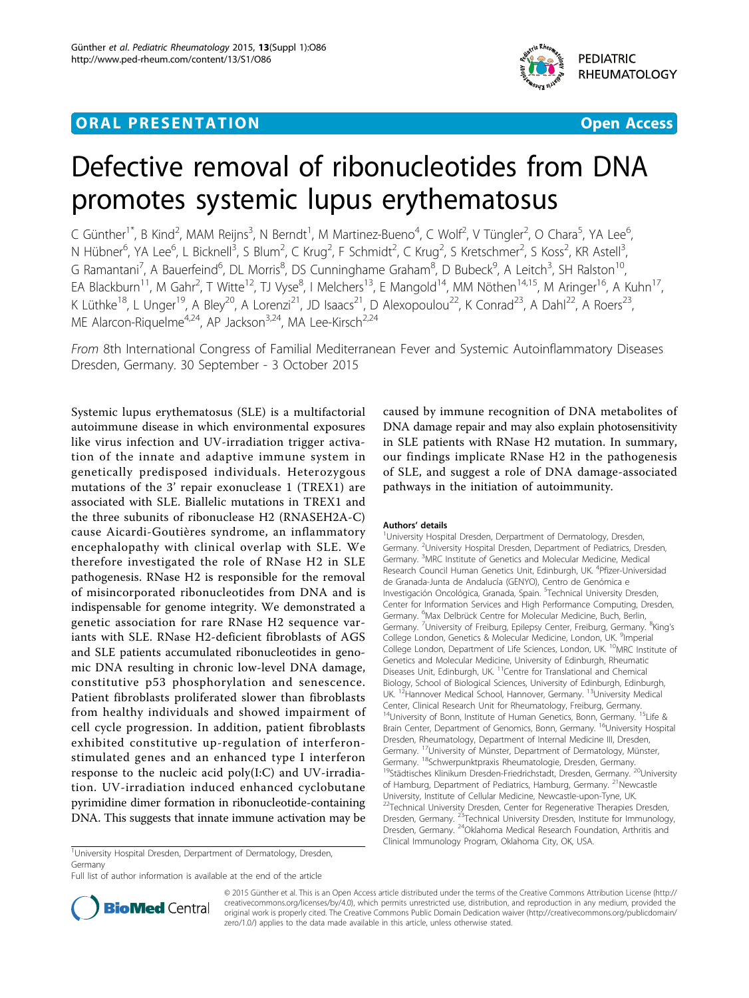### **ORAL PRESENTATION ORAL PRESENTATION**



# Defective removal of ribonucleotides from DNA promotes systemic lupus erythematosus

C Günther<sup>1\*</sup>, B Kind<sup>2</sup>, MAM Reijns<sup>3</sup>, N Berndt<sup>1</sup>, M Martinez-Bueno<sup>4</sup>, C Wolf<sup>2</sup>, V Tüngler<sup>2</sup>, O Chara<sup>5</sup>, YA Lee<sup>6</sup> , N Hübner<sup>6</sup>, YA Lee<sup>6</sup>, L Bicknell<sup>3</sup>, S Blum<sup>2</sup>, C Krug<sup>2</sup>, F Schmidt<sup>2</sup>, C Krug<sup>2</sup>, S Kretschmer<sup>2</sup>, S Koss<sup>2</sup>, KR Astell<sup>3</sup> , G Ramantani<sup>7</sup>, A Bauerfeind<sup>6</sup>, DL Morris<sup>8</sup>, DS Cunninghame Graham<sup>8</sup>, D Bubeck<sup>9</sup>, A Leitch<sup>3</sup>, SH Ralston<sup>10</sup>, EA Blackburn<sup>11</sup>, M Gahr<sup>2</sup>, T Witte<sup>12</sup>, TJ Vyse<sup>8</sup>, I Melchers<sup>13</sup>, E Mangold<sup>14</sup>, MM Nöthen<sup>14,15</sup>, M Aringer<sup>16</sup>, A Kuhn<sup>17</sup>, K Lüthke<sup>18</sup>, L Unger<sup>19</sup>, A Bley<sup>20</sup>, A Lorenzi<sup>21</sup>, JD Isaacs<sup>21</sup>, D Alexopoulou<sup>22</sup>, K Conrad<sup>23</sup>, A Dahl<sup>22</sup>, A Roers<sup>23</sup>, ME Alarcon-Riquelme<sup>4,24</sup>, AP Jackson<sup>3,24</sup>, MA Lee-Kirsch<sup>2,24</sup>

From 8th International Congress of Familial Mediterranean Fever and Systemic Autoinflammatory Diseases Dresden, Germany. 30 September - 3 October 2015

Systemic lupus erythematosus (SLE) is a multifactorial autoimmune disease in which environmental exposures like virus infection and UV-irradiation trigger activation of the innate and adaptive immune system in genetically predisposed individuals. Heterozygous mutations of the 3' repair exonuclease 1 (TREX1) are associated with SLE. Biallelic mutations in TREX1 and the three subunits of ribonuclease H2 (RNASEH2A-C) cause Aicardi-Goutières syndrome, an inflammatory encephalopathy with clinical overlap with SLE. We therefore investigated the role of RNase H2 in SLE pathogenesis. RNase H2 is responsible for the removal of misincorporated ribonucleotides from DNA and is indispensable for genome integrity. We demonstrated a genetic association for rare RNase H2 sequence variants with SLE. RNase H2-deficient fibroblasts of AGS and SLE patients accumulated ribonucleotides in genomic DNA resulting in chronic low-level DNA damage, constitutive p53 phosphorylation and senescence. Patient fibroblasts proliferated slower than fibroblasts from healthy individuals and showed impairment of cell cycle progression. In addition, patient fibroblasts exhibited constitutive up-regulation of interferonstimulated genes and an enhanced type I interferon response to the nucleic acid poly(I:C) and UV-irradiation. UV-irradiation induced enhanced cyclobutane pyrimidine dimer formation in ribonucleotide-containing DNA. This suggests that innate immune activation may be

caused by immune recognition of DNA metabolites of DNA damage repair and may also explain photosensitivity in SLE patients with RNase H2 mutation. In summary, our findings implicate RNase H2 in the pathogenesis of SLE, and suggest a role of DNA damage-associated pathways in the initiation of autoimmunity.

#### Authors' details <sup>1</sup>

<sup>1</sup>University Hospital Dresden, Derpartment of Dermatology, Dresden, Germany. <sup>2</sup>University Hospital Dresden, Department of Pediatrics, Dresden Germany. <sup>3</sup>MRC Institute of Genetics and Molecular Medicine, Medical Research Council Human Genetics Unit, Edinburgh, UK. <sup>4</sup>Pfizer-Universidad de Granada-Junta de Andalucía (GENYO), Centro de Genómica e Investigación Oncológica, Granada, Spain. <sup>5</sup>Technical University Dresden, Center for Information Services and High Performance Computing, Dresden, Germany. <sup>6</sup> Max Delbrück Centre for Molecular Medicine, Buch, Berlin, Germany. <sup>7</sup>University of Freiburg, Epilepsy Center, Freiburg, Germany. <sup>8</sup>King's College London, Genetics & Molecular Medicine, London, UK. <sup>9</sup>Imperial College London, Department of Life Sciences, London, UK. <sup>10</sup>MRC Institute of Genetics and Molecular Medicine, University of Edinburgh, Rheumatic Diseases Unit, Edinburgh, UK.<sup>11</sup>Centre for Translational and Chemical Biology, School of Biological Sciences, University of Edinburgh, Edinburgh, UK. <sup>12</sup>Hannover Medical School, Hannover, Germany. <sup>13</sup>University Medical Center, Clinical Research Unit for Rheumatology, Freiburg, Germany. <sup>14</sup>University of Bonn, Institute of Human Genetics, Bonn, Germany. <sup>15</sup>Life & Brain Center, Department of Genomics, Bonn, Germany. <sup>16</sup>University Hospital Dresden, Rheumatology, Department of Internal Medicine III, Dresden, Germany. <sup>17</sup>University of Münster, Department of Dermatology, Münster, Germany. <sup>18</sup>Schwerpunktpraxis Rheumatologie, Dresden, Germany. <sup>19</sup>Städtisches Klinikum Dresden-Friedrichstadt, Dresden, Germany. <sup>20</sup>University of Hamburg, Department of Pediatrics, Hamburg, Germany. <sup>21</sup>Newcastle University, Institute of Cellular Medicine, Newcastle-upon-Tyne, UK. <sup>22</sup>Technical University Dresden, Center for Regenerative Therapies Dresden, Dresden, Germany. <sup>23</sup>Technical University Dresden, Institute for Immunology, Dresden, Germany. 24Oklahoma Medical Research Foundation, Arthritis and Clinical Immunology Program, Oklahoma City, OK, USA.

<sup>1</sup>University Hospital Dresden, Derpartment of Dermatology, Dresden, Germany

Full list of author information is available at the end of the article



© 2015 Günther et al. This is an Open Access article distributed under the terms of the Creative Commons Attribution License [\(http://](http://creativecommons.org/licenses/by/4.0) [creativecommons.org/licenses/by/4.0](http://creativecommons.org/licenses/by/4.0)), which permits unrestricted use, distribution, and reproduction in any medium, provided the original work is properly cited. The Creative Commons Public Domain Dedication waiver ([http://creativecommons.org/publicdomain/](http://creativecommons.org/publicdomain/zero/1.0/) [zero/1.0/](http://creativecommons.org/publicdomain/zero/1.0/)) applies to the data made available in this article, unless otherwise stated.